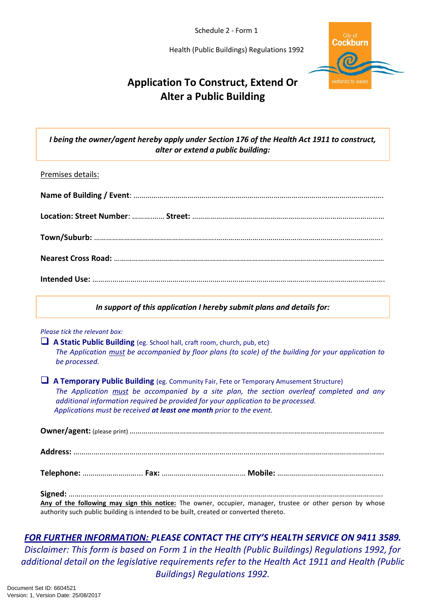Schedule 2 - Form 1

Health (Public Buildings) Regulations 1992



## **Application To Construct, Extend Or Alter a Public Building**

*I being the owner/agent hereby apply under Section 176 of the Health Act 1911 to construct, alter or extend a public building:*

#### Premises details:

*In support of this application I hereby submit plans and details for:*

#### *Please tick the relevant box:*

 **A Static Public Building** (eg. School hall, craft room, church, pub, etc) *The Application must be accompanied by floor plans (to scale) of the building for your application to be processed.* 

 **A Temporary Public Building** (eg. Community Fair, Fete or Temporary Amusement Structure) *The Application must be accompanied by a site plan, the section overleaf completed and any additional information required be provided for your application to be processed. Applications must be received at least one month prior to the event.*

**Owner/agent:** (please print) …………….…………………………………………………………………………………………………

**Address:** ……….……………………………………………………………………………………………………………………………….

**Telephone:** ………………………... **Fax:** …………………………………… **Mobile:** ……………………………………………..

**Signed:** …………………………………………………………………………………………………………………………………………. **Any of the following may sign this notice:** The owner, occupier, manager, trustee or other person by whose

authority such public building is intended to be built, created or converted thereto.

### *FOR FURTHER INFORMATION: PLEASE CONTACT THE CITY'S HEALTH SERVICE ON 9411 3589. Disclaimer: This form is based on Form 1 in the Health (Public Buildings) Regulations 1992, for additional detail on the legislative requirements refer to the Health Act 1911 and Health (Public Buildings) Regulations 1992.*